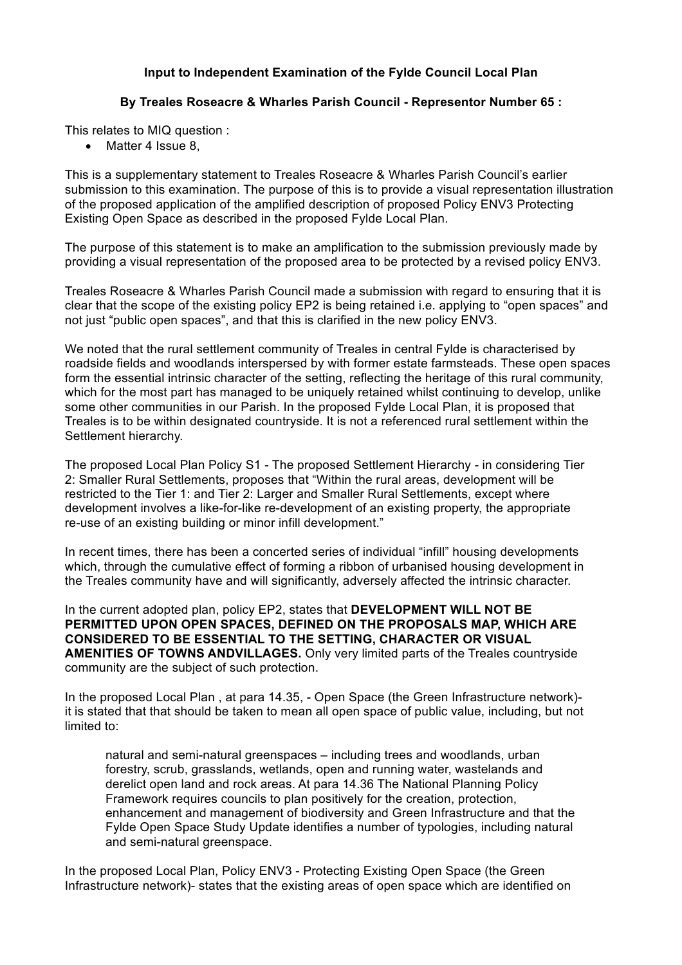## **Input to Independent Examination of the Fylde Council Local Plan**

## **By Treales Roseacre & Wharles Parish Council - Representor Number 65 :**

This relates to MIQ question :

• Matter 4 Issue 8.

This is a supplementary statement to Treales Roseacre & Wharles Parish Council's earlier submission to this examination. The purpose of this is to provide a visual representation illustration of the proposed application of the amplified description of proposed Policy ENV3 Protecting Existing Open Space as described in the proposed Fylde Local Plan.

The purpose of this statement is to make an amplification to the submission previously made by providing a visual representation of the proposed area to be protected by a revised policy ENV3.

Treales Roseacre & Wharles Parish Council made a submission with regard to ensuring that it is clear that the scope of the existing policy EP2 is being retained i.e. applying to "open spaces" and not just "public open spaces", and that this is clarified in the new policy ENV3.

We noted that the rural settlement community of Treales in central Fylde is characterised by roadside fields and woodlands interspersed by with former estate farmsteads. These open spaces form the essential intrinsic character of the setting, reflecting the heritage of this rural community, which for the most part has managed to be uniquely retained whilst continuing to develop, unlike some other communities in our Parish. In the proposed Fylde Local Plan, it is proposed that Treales is to be within designated countryside. It is not a referenced rural settlement within the Settlement hierarchy.

The proposed Local Plan Policy S1 - The proposed Settlement Hierarchy - in considering Tier 2: Smaller Rural Settlements, proposes that "Within the rural areas, development will be restricted to the Tier 1: and Tier 2: Larger and Smaller Rural Settlements, except where development involves a like-for-like re-development of an existing property, the appropriate re-use of an existing building or minor infill development."

In recent times, there has been a concerted series of individual "infill" housing developments which, through the cumulative effect of forming a ribbon of urbanised housing development in the Treales community have and will significantly, adversely affected the intrinsic character.

In the current adopted plan, policy EP2, states that **DEVELOPMENT WILL NOT BE PERMITTED UPON OPEN SPACES, DEFINED ON THE PROPOSALS MAP, WHICH ARE CONSIDERED TO BE ESSENTIAL TO THE SETTING, CHARACTER OR VISUAL AMENITIES OF TOWNS ANDVILLAGES.** Only very limited parts of the Treales countryside community are the subject of such protection.

In the proposed Local Plan , at para 14.35, - Open Space (the Green Infrastructure network) it is stated that that should be taken to mean all open space of public value, including, but not limited to:

natural and semi-natural greenspaces – including trees and woodlands, urban forestry, scrub, grasslands, wetlands, open and running water, wastelands and derelict open land and rock areas. At para 14.36 The National Planning Policy Framework requires councils to plan positively for the creation, protection, enhancement and management of biodiversity and Green Infrastructure and that the Fylde Open Space Study Update identifies a number of typologies, including natural and semi-natural greenspace.

In the proposed Local Plan, Policy ENV3 - Protecting Existing Open Space (the Green Infrastructure network)- states that the existing areas of open space which are identified on